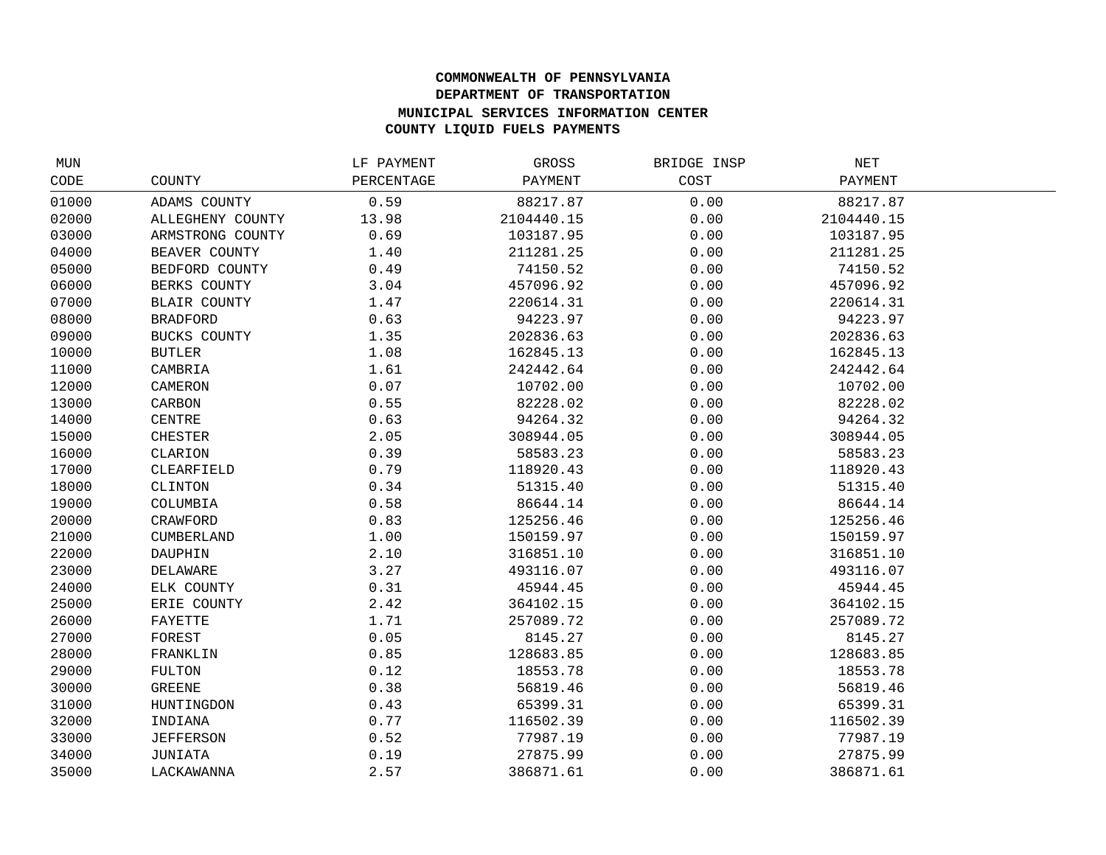## **COMMONWEALTH OF PENNSYLVANIA DEPARTMENT OF TRANSPORTATION MUNICIPAL SERVICES INFORMATION CENTER COUNTY LIQUID FUELS PAYMENTS**

| MUN   |                     | LF PAYMENT | GROSS      | BRIDGE INSP | $\operatorname{NET}$ |  |
|-------|---------------------|------------|------------|-------------|----------------------|--|
| CODE  | COUNTY              | PERCENTAGE | PAYMENT    | COST        | PAYMENT              |  |
| 01000 | ADAMS COUNTY        | 0.59       | 88217.87   | 0.00        | 88217.87             |  |
| 02000 | ALLEGHENY COUNTY    | 13.98      | 2104440.15 | 0.00        | 2104440.15           |  |
| 03000 | ARMSTRONG COUNTY    | 0.69       | 103187.95  | 0.00        | 103187.95            |  |
| 04000 | BEAVER COUNTY       | 1.40       | 211281.25  | 0.00        | 211281.25            |  |
| 05000 | BEDFORD COUNTY      | 0.49       | 74150.52   | 0.00        | 74150.52             |  |
| 06000 | BERKS COUNTY        | 3.04       | 457096.92  | 0.00        | 457096.92            |  |
| 07000 | <b>BLAIR COUNTY</b> | 1.47       | 220614.31  | 0.00        | 220614.31            |  |
| 08000 | <b>BRADFORD</b>     | 0.63       | 94223.97   | 0.00        | 94223.97             |  |
| 09000 | BUCKS COUNTY        | 1.35       | 202836.63  | 0.00        | 202836.63            |  |
| 10000 | <b>BUTLER</b>       | 1.08       | 162845.13  | 0.00        | 162845.13            |  |
| 11000 | CAMBRIA             | 1.61       | 242442.64  | 0.00        | 242442.64            |  |
| 12000 | CAMERON             | 0.07       | 10702.00   | 0.00        | 10702.00             |  |
| 13000 | CARBON              | 0.55       | 82228.02   | 0.00        | 82228.02             |  |
| 14000 | CENTRE              | 0.63       | 94264.32   | 0.00        | 94264.32             |  |
| 15000 | <b>CHESTER</b>      | 2.05       | 308944.05  | 0.00        | 308944.05            |  |
| 16000 | CLARION             | 0.39       | 58583.23   | 0.00        | 58583.23             |  |
| 17000 | CLEARFIELD          | 0.79       | 118920.43  | 0.00        | 118920.43            |  |
| 18000 | CLINTON             | 0.34       | 51315.40   | 0.00        | 51315.40             |  |
| 19000 | COLUMBIA            | 0.58       | 86644.14   | 0.00        | 86644.14             |  |
| 20000 | CRAWFORD            | 0.83       | 125256.46  | 0.00        | 125256.46            |  |
| 21000 | CUMBERLAND          | 1.00       | 150159.97  | 0.00        | 150159.97            |  |
| 22000 | DAUPHIN             | 2.10       | 316851.10  | 0.00        | 316851.10            |  |
| 23000 | DELAWARE            | 3.27       | 493116.07  | 0.00        | 493116.07            |  |
| 24000 | ELK COUNTY          | 0.31       | 45944.45   | 0.00        | 45944.45             |  |
| 25000 | ERIE COUNTY         | 2.42       | 364102.15  | 0.00        | 364102.15            |  |
| 26000 | FAYETTE             | 1.71       | 257089.72  | 0.00        | 257089.72            |  |
| 27000 | FOREST              | 0.05       | 8145.27    | 0.00        | 8145.27              |  |
| 28000 | FRANKLIN            | 0.85       | 128683.85  | 0.00        | 128683.85            |  |
| 29000 | FULTON              | 0.12       | 18553.78   | 0.00        | 18553.78             |  |
| 30000 | <b>GREENE</b>       | 0.38       | 56819.46   | 0.00        | 56819.46             |  |
| 31000 | HUNTINGDON          | 0.43       | 65399.31   | 0.00        | 65399.31             |  |
| 32000 | INDIANA             | 0.77       | 116502.39  | 0.00        | 116502.39            |  |
| 33000 | <b>JEFFERSON</b>    | 0.52       | 77987.19   | 0.00        | 77987.19             |  |
| 34000 | JUNIATA             | 0.19       | 27875.99   | 0.00        | 27875.99             |  |
| 35000 | LACKAWANNA          | 2.57       | 386871.61  | 0.00        | 386871.61            |  |